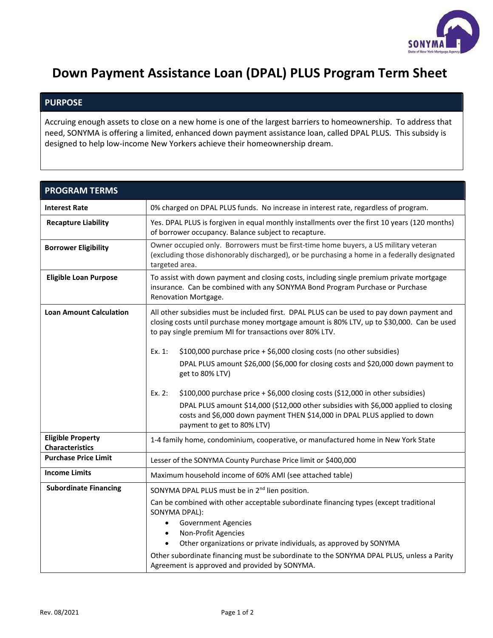

## Down Payment Assistance Loan (DPAL) PLUS Program Term Sheet

## PURPOSE

Accruing enough assets to close on a new home is one of the largest barriers to homeownership. To address that need, SONYMA is offering a limited, enhanced down payment assistance loan, called DPAL PLUS. This subsidy is designed to help low-income New Yorkers achieve their homeownership dream.

| <b>PROGRAM TERMS</b>                               |                                                                                                                                                                                                                                                                         |
|----------------------------------------------------|-------------------------------------------------------------------------------------------------------------------------------------------------------------------------------------------------------------------------------------------------------------------------|
| <b>Interest Rate</b>                               | 0% charged on DPAL PLUS funds. No increase in interest rate, regardless of program.                                                                                                                                                                                     |
| <b>Recapture Liability</b>                         | Yes. DPAL PLUS is forgiven in equal monthly installments over the first 10 years (120 months)<br>of borrower occupancy. Balance subject to recapture.                                                                                                                   |
| <b>Borrower Eligibility</b>                        | Owner occupied only. Borrowers must be first-time home buyers, a US military veteran<br>(excluding those dishonorably discharged), or be purchasing a home in a federally designated<br>targeted area.                                                                  |
| <b>Eligible Loan Purpose</b>                       | To assist with down payment and closing costs, including single premium private mortgage<br>insurance. Can be combined with any SONYMA Bond Program Purchase or Purchase<br>Renovation Mortgage.                                                                        |
| <b>Loan Amount Calculation</b>                     | All other subsidies must be included first. DPAL PLUS can be used to pay down payment and<br>closing costs until purchase money mortgage amount is 80% LTV, up to \$30,000. Can be used<br>to pay single premium MI for transactions over 80% LTV.                      |
|                                                    | \$100,000 purchase price + \$6,000 closing costs (no other subsidies)<br>$Ex.1$ :                                                                                                                                                                                       |
|                                                    | DPAL PLUS amount \$26,000 (\$6,000 for closing costs and \$20,000 down payment to<br>get to 80% LTV)                                                                                                                                                                    |
|                                                    | \$100,000 purchase price + \$6,000 closing costs (\$12,000 in other subsidies)<br>Ex.2:                                                                                                                                                                                 |
|                                                    | DPAL PLUS amount \$14,000 (\$12,000 other subsidies with \$6,000 applied to closing<br>costs and \$6,000 down payment THEN \$14,000 in DPAL PLUS applied to down<br>payment to get to 80% LTV)                                                                          |
| <b>Eligible Property</b><br><b>Characteristics</b> | 1-4 family home, condominium, cooperative, or manufactured home in New York State                                                                                                                                                                                       |
| <b>Purchase Price Limit</b>                        | Lesser of the SONYMA County Purchase Price limit or \$400,000                                                                                                                                                                                                           |
| <b>Income Limits</b>                               | Maximum household income of 60% AMI (see attached table)                                                                                                                                                                                                                |
| <b>Subordinate Financing</b>                       | SONYMA DPAL PLUS must be in 2 <sup>nd</sup> lien position.                                                                                                                                                                                                              |
|                                                    | Can be combined with other acceptable subordinate financing types (except traditional<br>SONYMA DPAL):<br><b>Government Agencies</b><br>$\bullet$<br>Non-Profit Agencies<br>$\bullet$<br>Other organizations or private individuals, as approved by SONYMA<br>$\bullet$ |
|                                                    | Other subordinate financing must be subordinate to the SONYMA DPAL PLUS, unless a Parity<br>Agreement is approved and provided by SONYMA.                                                                                                                               |